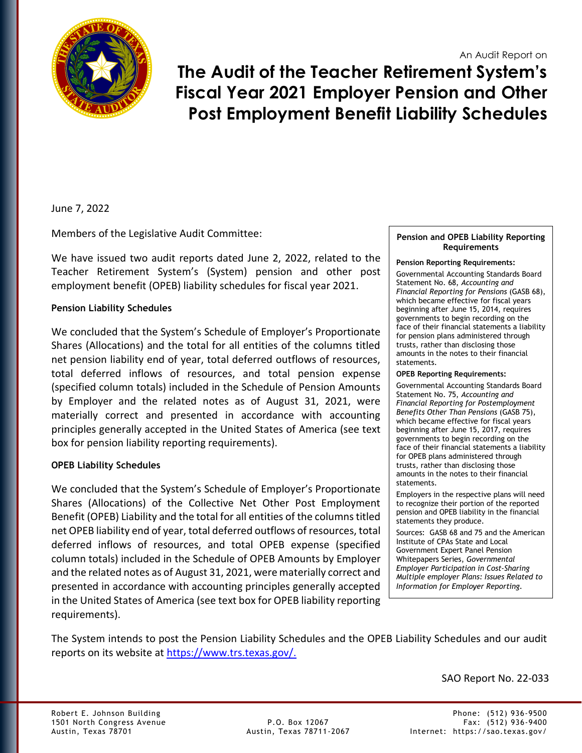An Audit Report on



**The Audit of the Teacher Retirement System's Fiscal Year 2021 Employer Pension and Other Post Employment Benefit Liability Schedules** 

June 7, 2022

Members of the Legislative Audit Committee:

We have issued two audit reports dated June 2, 2022, related to the Teacher Retirement System's (System) pension and other post employment benefit (OPEB) liability schedules for fiscal year 2021.

# **Pension Liability Schedules**

We concluded that the System's Schedule of Employer's Proportionate Shares (Allocations) and the total for all entities of the columns titled net pension liability end of year, total deferred outflows of resources, total deferred inflows of resources, and total pension expense (specified column totals) included in the Schedule of Pension Amounts by Employer and the related notes as of August 31, 2021, were materially correct and presented in accordance with accounting principles generally accepted in the United States of America (see text box for pension liability reporting requirements).

# **OPEB Liability Schedules**

We concluded that the System's Schedule of Employer's Proportionate Shares (Allocations) of the Collective Net Other Post Employment Benefit (OPEB) Liability and the total for all entities of the columns titled net OPEB liability end of year, total deferred outflows of resources, total deferred inflows of resources, and total OPEB expense (specified column totals) included in the Schedule of OPEB Amounts by Employer and the related notes as of August 31, 2021, were materially correct and presented in accordance with accounting principles generally accepted in the United States of America (see text box for OPEB liability reporting requirements).

#### **Pension and OPEB Liability Reporting Requirements**

### **Pension Reporting Requirements:**

Governmental Accounting Standards Board Statement No. 68, *Accounting and Financial Reporting for Pensions* (GASB 68), which became effective for fiscal years beginning after June 15, 2014, requires governments to begin recording on the face of their financial statements a liability for pension plans administered through trusts, rather than disclosing those amounts in the notes to their financial statements.

### **OPEB Reporting Requirements:**

Governmental Accounting Standards Board Statement No. 75, *Accounting and Financial Reporting for Postemployment Benefits Other Than Pensions* (GASB 75), which became effective for fiscal years beginning after June 15, 2017, requires governments to begin recording on the face of their financial statements a liability for OPEB plans administered through trusts, rather than disclosing those amounts in the notes to their financial statements.

Employers in the respective plans will need to recognize their portion of the reported pension and OPEB liability in the financial statements they produce.

Sources: GASB 68 and 75 and the American Institute of CPAs State and Local Government Expert Panel Pension Whitepapers Series, *Governmental Employer Participation in Cost-Sharing Multiple employer Plans: Issues Related to Information for Employer Reporting.*

The System intends to post the Pension Liability Schedules and the OPEB Liability Schedules and our audit reports on its website at [https://www.trs.texas.gov/.](https://www.trs.texas.gov/)

SAO Report No. 22-033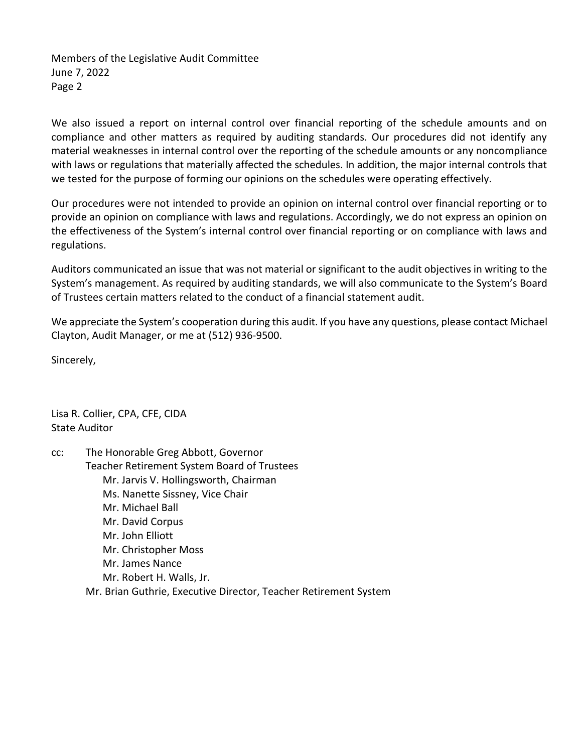Members of the Legislative Audit Committee June 7, 2022 Page 2

We also issued a report on internal control over financial reporting of the schedule amounts and on compliance and other matters as required by auditing standards. Our procedures did not identify any material weaknesses in internal control over the reporting of the schedule amounts or any noncompliance with laws or regulations that materially affected the schedules. In addition, the major internal controls that we tested for the purpose of forming our opinions on the schedules were operating effectively.

Our procedures were not intended to provide an opinion on internal control over financial reporting or to provide an opinion on compliance with laws and regulations. Accordingly, we do not express an opinion on the effectiveness of the System's internal control over financial reporting or on compliance with laws and regulations.

Auditors communicated an issue that was not material or significant to the audit objectives in writing to the System's management. As required by auditing standards, we will also communicate to the System's Board of Trustees certain matters related to the conduct of a financial statement audit.

We appreciate the System's cooperation during this audit. If you have any questions, please contact Michael Clayton, Audit Manager, or me at (512) 936-9500.

Sincerely,

Lisa R. Collier, CPA, CFE, CIDA State Auditor

cc: The Honorable Greg Abbott, Governor Teacher Retirement System Board of Trustees Mr. Jarvis V. Hollingsworth, Chairman Ms. Nanette Sissney, Vice Chair Mr. Michael Ball Mr. David Corpus Mr. John Elliott Mr. Christopher Moss Mr. James Nance Mr. Robert H. Walls, Jr. Mr. Brian Guthrie, Executive Director, Teacher Retirement System